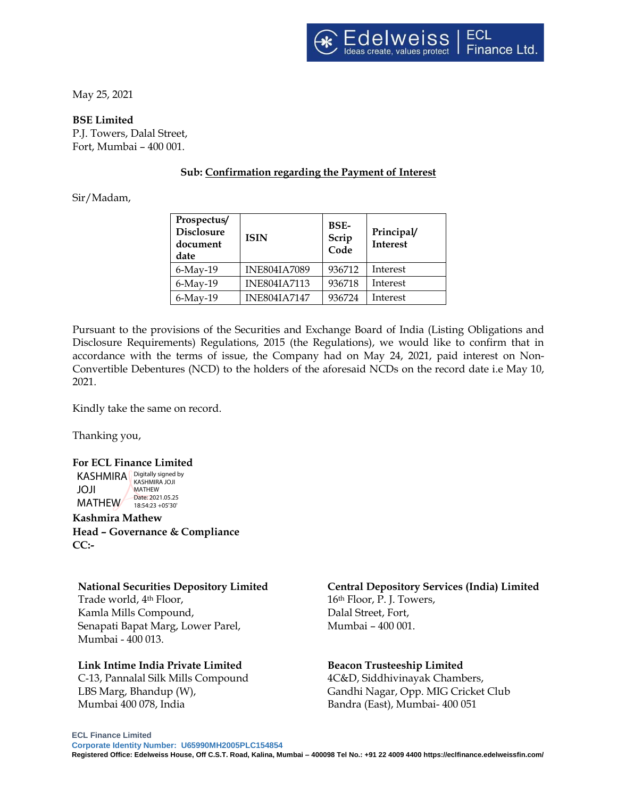May 25, 2021

### **BSE Limited**

P.J. Towers, Dalal Street, Fort, Mumbai – 400 001.

# **Sub: Confirmation regarding the Payment of Interest**

## Sir/Madam,

| Prospectus/<br><b>Disclosure</b><br>document<br>date | <b>ISIN</b>         | BSE-<br>Scrip<br>Code | Principal/<br>Interest |
|------------------------------------------------------|---------------------|-----------------------|------------------------|
| $6$ -May-19                                          | <b>INE804IA7089</b> | 936712                | Interest               |
| $6$ -May-19                                          | <b>INE804IA7113</b> | 936718                | Interest               |
| $6$ -May-19                                          | <b>INE804IA7147</b> | 936724                | Interest               |

Pursuant to the provisions of the Securities and Exchange Board of India (Listing Obligations and Disclosure Requirements) Regulations, 2015 (the Regulations), we would like to confirm that in accordance with the terms of issue, the Company had on May 24, 2021, paid interest on Non-Convertible Debentures (NCD) to the holders of the aforesaid NCDs on the record date i.e May 10, 2021.

Kindly take the same on record.

Thanking you,

## **For ECL Finance Limited**

KASHMIRA **Digitally signed by** JOJI MATHEW 18:54:23 + 05'30' KASHMIRA JOJI **MATHEW** Date: 2021.05.25

**Kashmira Mathew Head – Governance & Compliance CC:-**

#### **National Securities Depository Limited**

Trade world, 4th Floor, Kamla Mills Compound, Senapati Bapat Marg, Lower Parel, Mumbai - 400 013.

## **Link Intime India Private Limited**

C‐13, Pannalal Silk Mills Compound LBS Marg, Bhandup (W), Mumbai 400 078, India

## **Central Depository Services (India) Limited**

16th Floor, P. J. Towers, Dalal Street, Fort, Mumbai – 400 001.

## **Beacon Trusteeship Limited**

4C&D, Siddhivinayak Chambers, Gandhi Nagar, Opp. MIG Cricket Club Bandra (East), Mumbai- 400 051